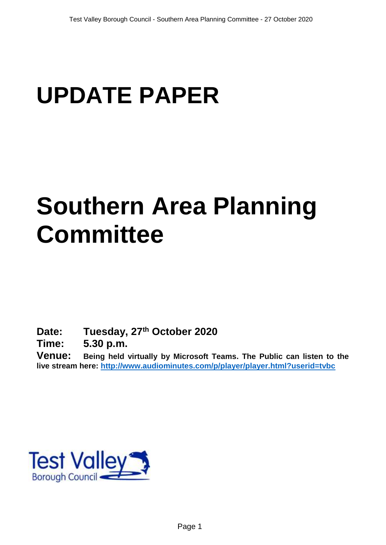# **UPDATE PAPER**

# **Southern Area Planning Committee**

**Date: Tuesday, 27th October 2020**

**Time: 5.30 p.m.**

**Venue: Being held virtually by Microsoft Teams. The Public can listen to the live stream here:<http://www.audiominutes.com/p/player/player.html?userid=tvbc>**

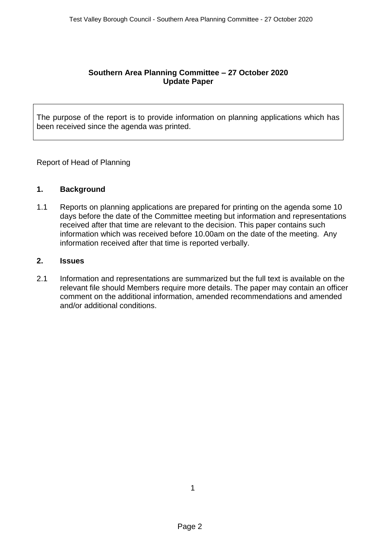### **Southern Area Planning Committee – 27 October 2020 Update Paper**

The purpose of the report is to provide information on planning applications which has been received since the agenda was printed.

Report of Head of Planning

### **1. Background**

1.1 Reports on planning applications are prepared for printing on the agenda some 10 days before the date of the Committee meeting but information and representations received after that time are relevant to the decision. This paper contains such information which was received before 10.00am on the date of the meeting. Any information received after that time is reported verbally.

### **2. Issues**

2.1 Information and representations are summarized but the full text is available on the relevant file should Members require more details. The paper may contain an officer comment on the additional information, amended recommendations and amended and/or additional conditions.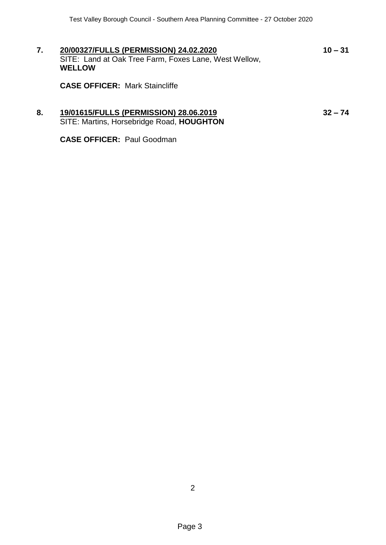**7. 20/00327/FULLS (PERMISSION) 24.02.2020 10 – 31** SITE: Land at Oak Tree Farm, Foxes Lane, West Wellow, **WELLOW**

**CASE OFFICER:** Mark Staincliffe

## **8. 19/01615/FULLS (PERMISSION) 28.06.2019 32 – 74** SITE: Martins, Horsebridge Road, **HOUGHTON**

**CASE OFFICER:** Paul Goodman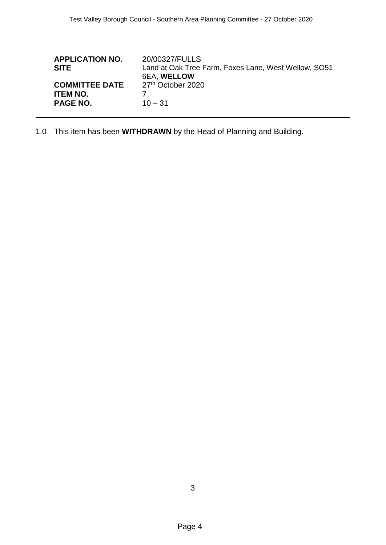| <b>APPLICATION NO.</b><br><b>SITE</b>                       | 20/00327/FULLS<br>Land at Oak Tree Farm, Foxes Lane, West Wellow, SO51<br><b>6EA, WELLOW</b> |
|-------------------------------------------------------------|----------------------------------------------------------------------------------------------|
| <b>COMMITTEE DATE</b><br><b>ITEM NO.</b><br><b>PAGE NO.</b> | 27 <sup>th</sup> October 2020<br>$10 - 31$                                                   |
|                                                             |                                                                                              |

1.0 This item has been **WITHDRAWN** by the Head of Planning and Building.